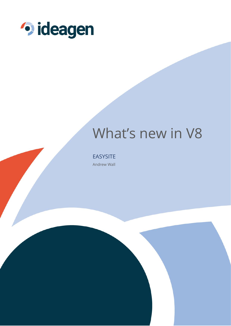

# What's new in V8

**EASYSITE** Andrew Wall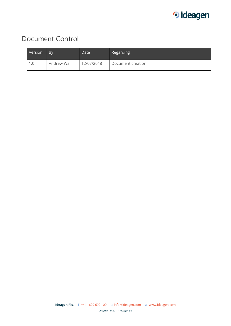

#### Document Control

| Version | <b>By</b>   | Date       | Regarding         |
|---------|-------------|------------|-------------------|
|         | Andrew Wall | 12/07/2018 | Document creation |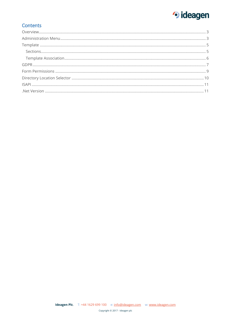### · ideagen

#### Contents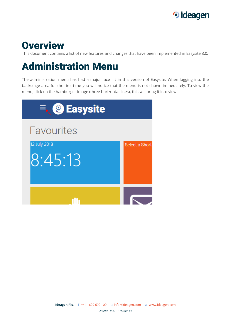

#### <span id="page-3-0"></span>**Overview**

This document contains a list of new features and changes that have been implemented in Easysite 8.0.

# <span id="page-3-1"></span>Administration Menu

The administration menu has had a major face lift in this version of Easysite. When logging into the backstage area for the first time you will notice that the menu is not shown immediately. To view the menu, click on the hamburger image (three horizontal lines), this will bring it into view.

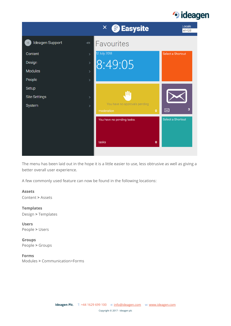#### · ideagen



The menu has been laid out in the hope it is a little easier to use, less obtrusive as well as giving a better overall user experience.

A few commonly used feature can now be found in the following locations:

#### **Assets**

Content **>** Assets

#### **Templates**

Design **>** Templates

**Users** People **>** Users

**Groups** People **>** Groups

**Forms** Modules **>** Communication>Forms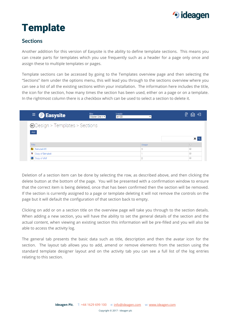

# <span id="page-5-0"></span>**Template**

#### <span id="page-5-1"></span>**Sections**

Another addition for this version of Easysite is the ability to define template sections. This means you can create parts for templates which you use frequently such as a header for a page only once and assign these to multiple templates or pages.

Template sections can be accessed by going to the Templates overview page and then selecting the "Sections" item under the options menu, this will lead you through to the sections overview where you can see a list of all the existing sections within your installation. The information here includes the title, the icon for the section, how many times the section has been used, either on a page or on a template. In the rightmost column there is a checkbox which can be used to select a section to delete it.

| $\equiv$ @ Easysite                     | <b>Site</b><br>Master Site + $\bullet$ | Locale<br>en-GB | ⊖<br>Φ<br>▽<br>▼  |  |
|-----------------------------------------|----------------------------------------|-----------------|-------------------|--|
| <b> S</b> Design > Templates > Sections |                                        |                 |                   |  |
| Add                                     |                                        |                 |                   |  |
|                                         |                                        |                 |                   |  |
|                                         |                                        |                 | $x \, \mathbb{Q}$ |  |
| Title                                   |                                        | Usage<br>3      | $\Box$            |  |
| fla Bahubali 85<br>V Copy of Bahubali   |                                        |                 | C                 |  |
| La Copy of dfdf                         |                                        | $\sim$          | C                 |  |

Deletion of a section item can be done by selecting the row, as described above, and then clicking the delete button at the bottom of the page. You will be presented with a confirmation window to ensure that the correct item is being deleted, once that has been confirmed then the section will be removed. If the section is currently assigned to a page or template deleting it will not remove the controls on the page but it will default the configuration of that section back to empty.

Clicking on add or on a section title on the overview page will take you through to the section details. When adding a new section, you will have the ability to set the general details of the section and the actual content, when viewing an existing section this information will be pre-filled and you will also be able to access the activity log.

The general tab presents the basic data such as title, description and then the avatar icon for the section. The layout tab allows you to add, amend or remove elements from the section using the standard template designer layout and on the activity tab you can see a full list of the log entries relating to this section.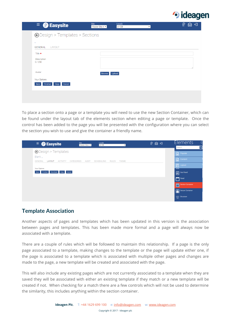

| $\equiv$ @ Easysite                | <b>Site</b><br>Master Site + $\blacktriangledown$ | Locale<br>$en-GB$<br>$\pmb{\mathrm{v}}$ | Ø<br>⋳ |
|------------------------------------|---------------------------------------------------|-----------------------------------------|--------|
| ⊕Design > Templates > Sections     |                                                   |                                         |        |
| ۰<br>GENERAL LAYOUT                |                                                   |                                         |        |
| Title *                            |                                                   |                                         |        |
| Description<br>0/250               |                                                   |                                         |        |
| Avatar                             | <b>Browse</b>                                     | Upload                                  |        |
| Your Options                       |                                                   |                                         |        |
| Cancel<br>Finished<br>Save<br>Copy |                                                   |                                         |        |
|                                    |                                                   |                                         |        |
|                                    |                                                   |                                         |        |

To place a section onto a page or a template you will need to use the new Section Container, which can be found under the layout tab of the elements section when editing a page or template. Once the control has been added to the page you will be presented with the configuration where you can select the section you wish to use and give the container a friendly name.

| <b>Site</b><br>Locale<br>$\equiv$ <b>@</b> Easysite<br>Master Site + $\bullet$<br>$en-GB$<br>$\mathbf{v}$                      | $Q \otimes d$ | 'Elements,<br>(-            |
|--------------------------------------------------------------------------------------------------------------------------------|---------------|-----------------------------|
| ⊕Design > Templates                                                                                                            |               | $\mathbf{a}$<br>Search      |
| Blank_                                                                                                                         |               | $\boxed{\cdot}$ Popular     |
| <b>GENERAL</b><br>LAYOUT<br><b>ACTIVITY</b><br><b>CATEGORIES</b><br>AUDIT<br><b>SCHEDULING</b><br><b>RULES</b><br><b>THEME</b> |               | $\boxed{\cdot}$ Content     |
|                                                                                                                                |               | $\boxed{=}$ Layout          |
| Your Options<br>Cancel<br>Download<br>$\log   \log  $<br>Save<br>Finished                                                      |               | $\boxed{=}$ Geo Panel       |
|                                                                                                                                |               | Panel                       |
|                                                                                                                                |               | Section Container           |
|                                                                                                                                |               |                             |
|                                                                                                                                |               | Secure Container            |
|                                                                                                                                |               | cardian Structure<br>charge |

#### <span id="page-6-0"></span>**Template Association**

Another aspects of pages and templates which has been updated in this version is the association between pages and templates. This has been made more formal and a page will always now be associated with a template.

There are a couple of rules which will be followed to maintain this relationship. If a page is the only page associated to a template, making changes to the template or the page will update either one, if the page is associated to a template which is associated with multiple other pages and changes are made to the page, a new template will be created and associated with the page.

This will also include any existing pages which are not currently associated to a template when they are saved they will be associated with either an existing template if they match or a new template will be created if not. When checking for a match there are a few controls which will not be used to determine the similarity, this includes anything within the section container.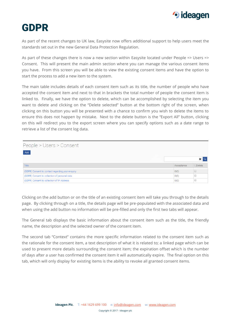

### <span id="page-7-0"></span>GDPR

As part of the recent changes to UK law, Easysite now offers additional support to help users meet the standards set out in the new General Data Protection Regulation.

As part of these changes there is now a new section within Easysite located under People => Users => Consent. This will present the main admin section where you can manage the various consent items you have. From this screen you will be able to view the existing consent items and have the option to start the process to add a new item to the system.

The main table includes details of each consent item such as its title, the number of people who have accepted the consent item and next to that in brackets the total number of people the consent item is linked to. Finally, we have the option to delete, which can be accomplished by selecting the item you want to delete and clicking on the "Delete selected" button at the bottom right of the screen, when clicking on this button you will be presented with a chance to confirm you wish to delete the items to ensure this does not happen by mistake. Next to the delete button is the "Export All" button, clicking on this will redirect you to the export screen where you can specify options such as a date range to retrieve a list of the consent log data.

| People > Users > Consent                         |            |                |
|--------------------------------------------------|------------|----------------|
| Add                                              |            |                |
|                                                  |            |                |
| Title                                            | Acceptance | <b>ODelete</b> |
| (GDPR) Consent to contact regarding your enquiry | 0(0)       |                |
| (GDPR) Consent to collection of personal data    | O(0)       |                |
| (GDPR) Consent to collection of IP Address       | O(0)       |                |

Clicking on the add button or on the title of an existing consent item will take you through to the details page. By clicking through on a title, the details page will be pre-populated with the associated data and when using the add button no information will be pre-filled and only the first two tabs will appear.

The General tab displays the basic information about the consent item such as the title, the friendly name, the description and the selected owner of the consent item.

The second tab "Context" contains the more specific information related to the consent item such as the rationale for the consent item, a text description of what it is related to; a linked page which can be used to present more details surrounding the consent item; the expiration offset which is the number of days after a user has confirmed the consent item it will automatically expire. The final option on this tab, which will only display for existing items is the ability to revoke all granted consent items.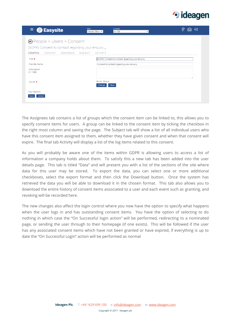

| $\equiv$ @ Easysite                                  | Site<br>Locale<br>Master Site + $\blacktriangledown$<br>en-GB<br>$\pmb{\mathrm{v}}$ | ℗<br>ਚ<br>≿ৌ |
|------------------------------------------------------|-------------------------------------------------------------------------------------|--------------|
| <b> ⊖</b> People > Users > Consent                   |                                                                                     |              |
| (GDPR) Consent to contact regarding your enquiry_    |                                                                                     |              |
| <b>GENERAL</b><br><b>CONTEXT</b><br><b>ASSIGNFFS</b> | <b>SUBJECT</b><br><b>ACTIVITY</b>                                                   |              |
| Title $\star$                                        | (GDPR) Consent to contact regarding your enquiry                                    |              |
| <b>Friendly Name</b>                                 | Consent to contact regarding your enquiry                                           |              |
| Description<br>0/1000                                |                                                                                     |              |
| Owner $\star$                                        | Smith, Cheryl<br>Clear<br>Change                                                    |              |
| <b>Your Options</b><br>Cancel<br>Save                |                                                                                     |              |

The Assignees tab contains a list of groups which the consent item can be linked to, this allows you to specify consent items for users. A group can be linked to the consent item by ticking the checkbox in the right most column and saving the page. The Subject tab will show a list of all individual users who have this consent item assigned to them, whether they have given consent and when that consent will expire. The final tab Activity will display a list of the log items related to this consent.

As you will probably be aware one of the items within GDPR is allowing users to access a list of information a company holds about them. To satisfy this a new tab has been added into the user details page. This tab is titled "Data" and will present you with a list of the sections of the site where data for this user may be stored. To export the data, you can select one or more additional checkboxes, select the export format and then click the Download button. Once the system has retrieved the data you will be able to download it in the chosen format. This tab also allows you to download the entire history of consent items associated to a user and each event such as granting, and revoking will be recorded here.

The new changes also affect the login control where you now have the option to specify what happens when the user logs in and has outstanding consent items. You have the option of selecting to do nothing in which case the "On Successful login action" will be performed, redirecting to a nominated page, or sending the user through to their homepage (if one exists). This will be followed if the user has any associated consent items which have not been granted or have expired, if everything is up to date the "On Successful Login" action will be performed as normal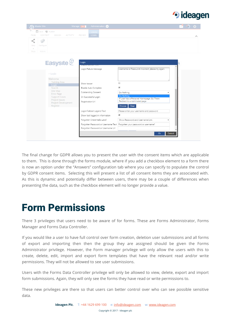

|                | Master Site                             |                                       | Manage on                        | Administration                     |                                                                            |  |  |
|----------------|-----------------------------------------|---------------------------------------|----------------------------------|------------------------------------|----------------------------------------------------------------------------|--|--|
| PAGE           | Save <b>C</b> Publish<br><b>CONTENT</b> | <b>DESIGN</b>                         | <b>REVIEW</b><br><b>ACTIVITY</b> | LOGIN<br><b>LOGIN</b>              |                                                                            |  |  |
| Step<br>$\sim$ | a C<br>Configure                        |                                       |                                  |                                    |                                                                            |  |  |
| <b>Steps</b>   | Actions                                 |                                       |                                  |                                    |                                                                            |  |  |
|                |                                         | Easysite $\mathcal{Q}$                | Login                            |                                    |                                                                            |  |  |
|                |                                         | $>$ Login                             |                                  | Login Failure Message              | Username or Password incorrect, please try again.                          |  |  |
|                |                                         | Welcome<br><b>Training Area</b>       |                                  |                                    | $\Box$                                                                     |  |  |
|                |                                         | Login                                 | Show teaser                      |                                    |                                                                            |  |  |
|                |                                         | Search<br>Site Map                    |                                  | Enable Auto Complete               | $\overline{\mathbf{v}}$                                                    |  |  |
|                |                                         | Error Page                            |                                  | Outstanding Consent:               | Do Nothing                                                                 |  |  |
|                |                                         | <b>Support Cases</b>                  |                                  | On Successful Login:               | Do Nothing<br>If User has a Personal Homepage, Go There                    |  |  |
|                |                                         | Project Issues<br>Project Development | Registration Url                 |                                    | Redirect to a nominated page                                               |  |  |
|                |                                         | Register                              |                                  |                                    | Clear<br>Choose                                                            |  |  |
|                |                                         |                                       |                                  | Login Fieldset Legend Text         | Please enter your username and password                                    |  |  |
|                |                                         |                                       |                                  | Show last logged in information    | $\overline{\mathcal{L}}$                                                   |  |  |
|                |                                         |                                       |                                  | Forgotten Credentials Label        | Show Password and Username Link                                            |  |  |
|                |                                         |                                       |                                  |                                    | Forgotten Password or Username Text   Forgotten your password or username? |  |  |
|                |                                         |                                       |                                  | Forgotten Password or Username Url |                                                                            |  |  |
|                |                                         |                                       |                                  |                                    | <b>Ok</b><br>Cancel                                                        |  |  |
|                |                                         |                                       |                                  |                                    |                                                                            |  |  |

The final change for GDPR allows you to present the user with the consent items which are applicable to them. This is done through the forms module, where if you add a checkbox element to a form there is now an option under the "Answers" configuration tab where you can specify to populate the control by GDPR consent items. Selecting this will present a list of all consent items they are associated with. As this is dynamic and potentially differ between users, there may be a couple of differences when presenting the data, such as the checkbox element will no longer provide a value.

### <span id="page-9-0"></span>Form Permissions

There 3 privileges that users need to be aware of for forms. These are Forms Administrator, Forms Manager and Forms Data Controller.

If you would like a user to have full control over form creation, deletion user submissions and all forms of export and importing then then the group they are assigned should be given the Forms Administrator privilege. However, the Form manager privilege will only allow the users with this to create, delete, edit, import and export form templates that have the relevant read and/or write permissions. They will not be allowed to see user submissions.

Users with the Forms Data Controller privilege will only be allowed to view, delete, export and import form submissions. Again, they will only see the forms they have read or write permissions to.

These new privileges are there so that users can better control over who can see possible sensitive data.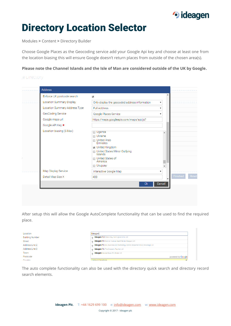

# <span id="page-10-0"></span>Directory Location Selector

Modules **>** Content **>** Directory Builder

Choose Google Places as the Geocoding service add your Google Api key and choose at least one from the location biasing this will ensure Google doesn't return places from outside of the chosen area(s).

**Please note the Channel Islands and the Isle of Man are considered outside of the UK by Google.**

|  |  | ----- |  |  |
|--|--|-------|--|--|

| Enforce UK postcode search      | $\overline{\mathcal{L}}$                                                                                                                                           | $\blacktriangle$ |
|---------------------------------|--------------------------------------------------------------------------------------------------------------------------------------------------------------------|------------------|
| <b>Location Summary Display</b> | Only display the geocoded address information                                                                                                                      | ▼                |
| Location Summary Address Type   | <b>Full Address</b>                                                                                                                                                |                  |
| GeoCoding Service               | Google Places Service                                                                                                                                              |                  |
| Google maps url                 | https://maps.googleapis.com/maps/api/js?                                                                                                                           |                  |
| Google API Key *                |                                                                                                                                                                    |                  |
| Location biasing (5 Max)        | Uganda<br><b>□</b> Ukraine<br>□ United Arab<br>Emirates<br>Inited Kingdom<br>United States Minor Outlying<br>Islands<br>□ United States of<br>America<br>□ Uruguay | ▲                |
| Map Display Service             | Interactive Google Map                                                                                                                                             |                  |
| Detail Map Size X               | 400                                                                                                                                                                | Finished         |

After setup this will allow the Google AutoComplete functionality that can be used to find the required place.

| Location               | Ideagen                                                                                  |
|------------------------|------------------------------------------------------------------------------------------|
| <b>Building Number</b> | <b>Ideagen PLC</b> Mere Way, Nottinghamshire, UK                                         |
| <b>Street</b>          | Ideagen Plc Bramah Avenue, East Kilbride, Glasgow, UK                                    |
| Address Line 2         | Ideagen PIc btc, Business and Technology Centre, Bessemer Drive, Stevenage, UK<br>$\sim$ |
| Address Line 3         | Ideagen PIC The Crescent, Taunton, UK<br>$\sim$                                          |
| Town                   | Ideagen Macrae Road, Pill, Bristol, UK<br>$\alpha$                                       |
| Postcode               | powered by <b>Google</b>                                                                 |
| Country                | <b>Linitad Kingdom</b>                                                                   |

The auto complete functionality can also be used with the directory quick search and directory record search elements.